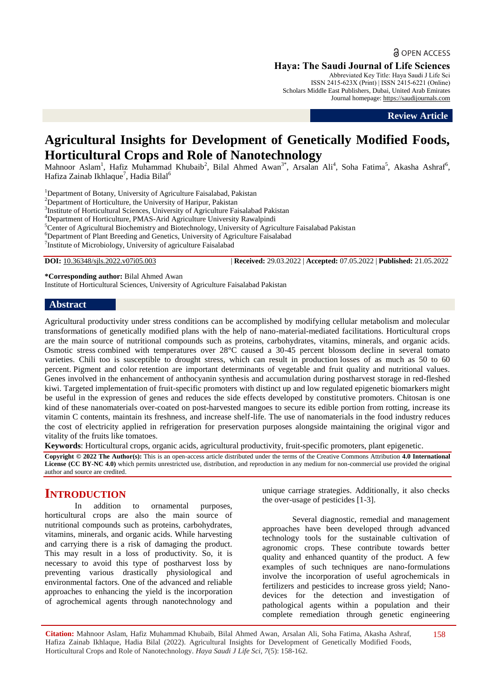**a** OPEN ACCESS

**Haya: The Saudi Journal of Life Sciences**

Abbreviated Key Title: Haya Saudi J Life Sci ISSN 2415-623X (Print) | ISSN 2415-6221 (Online) Scholars Middle East Publishers, Dubai, United Arab Emirates Journal homepage: [https://saudijournals.com](https://saudijournals.com/sjls)

**Review Article**

# **Agricultural Insights for Development of Genetically Modified Foods, Horticultural Crops and Role of Nanotechnology**

Mahnoor Aslam<sup>1</sup>, Hafiz Muhammad Khubaib<sup>2</sup>, Bilal Ahmed Awan<sup>3\*</sup>, Arsalan Ali<sup>4</sup>, Soha Fatima<sup>5</sup>, Akasha Ashraf<sup>6</sup>, Hafiza Zainab Ikhlaque<sup>7</sup>, Hadia Bilal<sup>6</sup>

<sup>1</sup>Department of Botany, University of Agriculture Faisalabad, Pakistan

<sup>2</sup>Department of Horticulture, the University of Haripur, Pakistan

<sup>3</sup>Institute of Horticultural Sciences, University of Agriculture Faisalabad Pakistan

<sup>4</sup>Department of Horticulture, PMAS-Arid Agriculture University Rawalpindi

<sup>5</sup>Center of Agricultural Biochemistry and Biotechnology, University of Agriculture Faisalabad Pakistan

<sup>6</sup>Department of Plant Breeding and Genetics, University of Agriculture Faisalabad

<sup>7</sup>Institute of Microbiology, University of agriculture Faisalabad

**DOI:** 10.36348/sjls.2022.v07i05.003 | **Received:** 29.03.2022 | **Accepted:** 07.05.2022 | **Published:** 21.05.2022

**\*Corresponding author:** Bilal Ahmed Awan Institute of Horticultural Sciences, University of Agriculture Faisalabad Pakistan

#### **Abstract**

Agricultural productivity under stress conditions can be accomplished by modifying cellular metabolism and molecular transformations of genetically modified plans with the help of nano-material-mediated facilitations. Horticultural crops are the main source of nutritional compounds such as proteins, carbohydrates, vitamins, minerals, and organic acids. Osmotic stress combined with temperatures over 28°C caused a 30-45 percent blossom decline in several tomato varieties. Chili too is susceptible to drought stress, which can result in production losses of as much as 50 to 60 percent. Pigment and color retention are important determinants of vegetable and fruit quality and nutritional values. Genes involved in the enhancement of anthocyanin synthesis and accumulation during postharvest storage in red-fleshed kiwi. Targeted implementation of fruit-specific promoters with distinct up and low regulated epigenetic biomarkers might be useful in the expression of genes and reduces the side effects developed by constitutive promoters. Chitosan is one kind of these nanomaterials over-coated on post-harvested mangoes to secure its edible portion from rotting, increase its vitamin C contents, maintain its freshness, and increase shelf-life. The use of nanomaterials in the food industry reduces the cost of electricity applied in refrigeration for preservation purposes alongside maintaining the original vigor and vitality of the fruits like tomatoes.

**Keywords**: Horticultural crops, organic acids, agricultural productivity, fruit-specific promoters, plant epigenetic.

**Copyright © 2022 The Author(s):** This is an open-access article distributed under the terms of the Creative Commons Attribution **4.0 International License (CC BY-NC 4.0)** which permits unrestricted use, distribution, and reproduction in any medium for non-commercial use provided the original author and source are credited.

# **INTRODUCTION**

In addition to ornamental purposes, horticultural crops are also the main source of nutritional compounds such as proteins, carbohydrates, vitamins, minerals, and organic acids. While harvesting and carrying there is a risk of damaging the product. This may result in a loss of productivity. So, it is necessary to avoid this type of postharvest loss by preventing various drastically physiological and environmental factors. One of the advanced and reliable approaches to enhancing the yield is the incorporation of agrochemical agents through nanotechnology and

unique carriage strategies. Additionally, it also checks the over-usage of pesticides [1-3].

Several diagnostic, remedial and management approaches have been developed through advanced technology tools for the sustainable cultivation of agronomic crops. These contribute towards better quality and enhanced quantity of the product. A few examples of such techniques are nano-formulations involve the incorporation of useful agrochemicals in fertilizers and pesticides to increase gross yield; Nanodevices for the detection and investigation of pathological agents within a population and their complete remediation through genetic engineering

**Citation:** Mahnoor Aslam, Hafiz Muhammad Khubaib, Bilal Ahmed Awan, Arsalan Ali, Soha Fatima, Akasha Ashraf, Hafiza Zainab Ikhlaque, Hadia Bilal (2022). Agricultural Insights for Development of Genetically Modified Foods, Horticultural Crops and Role of Nanotechnology. *Haya Saudi J Life Sci, 7*(5): 158-162. 158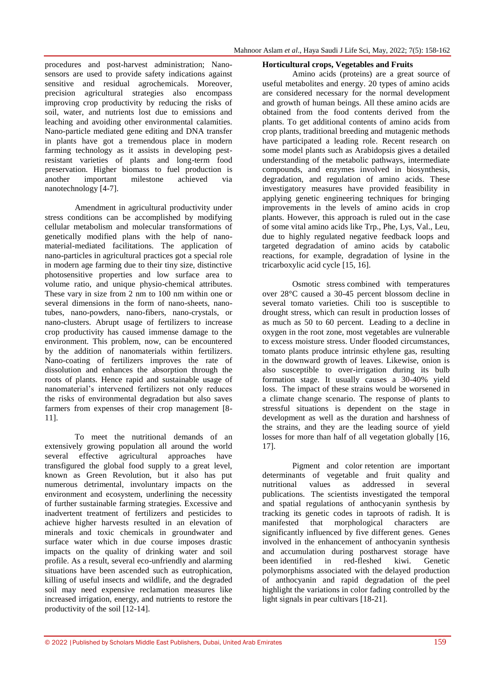procedures and post-harvest administration; Nanosensors are used to provide safety indications against sensitive and residual agrochemicals. Moreover, precision agricultural strategies also encompass improving crop productivity by reducing the risks of soil, water, and nutrients lost due to emissions and leaching and avoiding other environmental calamities. Nano-particle mediated gene editing and DNA transfer in plants have got a tremendous place in modern farming technology as it assists in developing pestresistant varieties of plants and long-term food preservation. Higher biomass to fuel production is another important milestone achieved via nanotechnology [4-7].

Amendment in agricultural productivity under stress conditions can be accomplished by modifying cellular metabolism and molecular transformations of genetically modified plans with the help of nanomaterial-mediated facilitations. The application of nano-particles in agricultural practices got a special role in modern age farming due to their tiny size, distinctive photosensitive properties and low surface area to volume ratio, and unique physio-chemical attributes. These vary in size from 2 nm to 100 nm within one or several dimensions in the form of nano-sheets, nanotubes, nano-powders, nano-fibers, nano-crystals, or nano-clusters. Abrupt usage of fertilizers to increase crop productivity has caused immense damage to the environment. This problem, now, can be encountered by the addition of nanomaterials within fertilizers. Nano-coating of fertilizers improves the rate of dissolution and enhances the absorption through the roots of plants. Hence rapid and sustainable usage of nanomaterial's intervened fertilizers not only reduces the risks of environmental degradation but also saves farmers from expenses of their crop management [8-11].

To meet the nutritional demands of an extensively growing population all around the world several effective agricultural approaches have transfigured the global food supply to a great level, known as Green Revolution, but it also has put numerous detrimental, involuntary impacts on the environment and ecosystem, underlining the necessity of further sustainable farming strategies. Excessive and inadvertent treatment of fertilizers and pesticides to achieve higher harvests resulted in an elevation of minerals and toxic chemicals in groundwater and surface water which in due course imposes drastic impacts on the quality of drinking water and soil profile. As a result, several eco-unfriendly and alarming situations have been ascended such as eutrophication, killing of useful insects and wildlife, and the degraded soil may need expensive reclamation measures like increased irrigation, energy, and nutrients to restore the productivity of the soil [12-14].

#### **Horticultural crops, Vegetables and Fruits**

Amino acids (proteins) are a great source of useful metabolites and energy. 20 types of amino acids are considered necessary for the normal development and growth of human beings. All these amino acids are obtained from the food contents derived from the plants. To get additional contents of amino acids from crop plants, traditional breeding and mutagenic methods have participated a leading role. Recent research on some model plants such as Arabidopsis gives a detailed understanding of the metabolic pathways, intermediate compounds, and enzymes involved in biosynthesis, degradation, and regulation of amino acids. These investigatory measures have provided feasibility in applying genetic engineering techniques for bringing improvements in the levels of amino acids in crop plants. However, this approach is ruled out in the case of some vital amino acids like Trp., Phe, Lys, Val., Leu, due to highly regulated negative feedback loops and targeted degradation of amino acids by catabolic reactions, for example, degradation of lysine in the tricarboxylic acid cycle [15, 16].

Osmotic stress combined with temperatures over 28°C caused a 30-45 percent blossom decline in several tomato varieties. Chili too is susceptible to drought stress, which can result in production losses of as much as 50 to 60 percent. Leading to a decline in oxygen in the root zone, most vegetables are vulnerable to excess moisture stress. Under flooded circumstances, tomato plants produce intrinsic ethylene gas, resulting in the downward growth of leaves. Likewise, onion is also susceptible to over-irrigation during its bulb formation stage. It usually causes a 30-40% yield loss. The impact of these strains would be worsened in a climate change scenario. The response of plants to stressful situations is dependent on the stage in development as well as the duration and harshness of the strains, and they are the leading source of yield losses for more than half of all vegetation globally [16, 17].

Pigment and color retention are important determinants of vegetable and fruit quality and nutritional values as addressed in several publications. The scientists investigated the temporal and spatial regulations of anthocyanin synthesis by tracking its genetic codes in taproots of radish. It is manifested that morphological characters are significantly influenced by five different genes. Genes involved in the enhancement of anthocyanin synthesis and accumulation during postharvest storage have been identified in red-fleshed kiwi. Genetic polymorphisms associated with the delayed production of anthocyanin and rapid degradation of the peel highlight the variations in color fading controlled by the light signals in pear cultivars [18-21].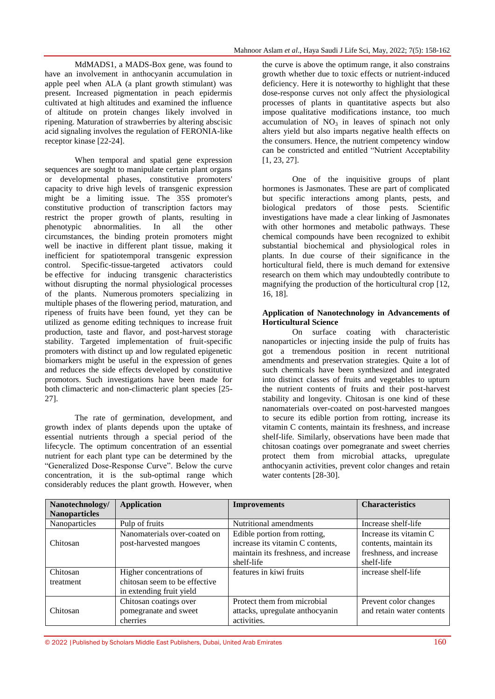MdMADS1, a MADS-Box gene, was found to have an involvement in anthocyanin accumulation in apple peel when ALA (a plant growth stimulant) was present. Increased pigmentation in peach epidermis cultivated at high altitudes and examined the influence of altitude on protein changes likely involved in ripening. Maturation of strawberries by altering abscisic acid signaling involves the regulation of FERONIA-like receptor kinase [22-24].

When temporal and spatial gene expression sequences are sought to manipulate certain plant organs or developmental phases, constitutive promoters' capacity to drive high levels of transgenic expression might be a limiting issue. The 35S promoter's constitutive production of transcription factors may restrict the proper growth of plants, resulting in phenotypic abnormalities. In all the other circumstances, the binding protein promoters might well be inactive in different plant tissue, making it inefficient for spatiotemporal transgenic expression control. Specific-tissue-targeted activators could be effective for inducing transgenic characteristics without disrupting the normal physiological processes of the plants. Numerous promoters specializing in multiple phases of the flowering period, maturation, and ripeness of fruits have been found, yet they can be utilized as genome editing techniques to increase fruit production, taste and flavor, and post-harvest storage stability. Targeted implementation of fruit-specific promoters with distinct up and low regulated epigenetic biomarkers might be useful in the expression of genes and reduces the side effects developed by constitutive promotors. Such investigations have been made for both climacteric and non-climacteric plant species [25- 27].

The rate of germination, development, and growth index of plants depends upon the uptake of essential nutrients through a special period of the lifecycle. The optimum concentration of an essential nutrient for each plant type can be determined by the "Generalized Dose-Response Curve". Below the curve concentration, it is the sub-optimal range which considerably reduces the plant growth. However, when

the curve is above the optimum range, it also constrains growth whether due to toxic effects or nutrient-induced deficiency. Here it is noteworthy to highlight that these dose-response curves not only affect the physiological processes of plants in quantitative aspects but also impose qualitative modifications instance, too much accumulation of  $NO<sub>3</sub>$  in leaves of spinach not only alters yield but also imparts negative health effects on the consumers. Hence, the nutrient competency window can be constricted and entitled "Nutrient Acceptability [1, 23, 27].

One of the inquisitive groups of plant hormones is Jasmonates. These are part of complicated but specific interactions among plants, pests, and biological predators of those pests. Scientific investigations have made a clear linking of Jasmonates with other hormones and metabolic pathways. These chemical compounds have been recognized to exhibit substantial biochemical and physiological roles in plants. In due course of their significance in the horticultural field, there is much demand for extensive research on them which may undoubtedly contribute to magnifying the production of the horticultural crop [12, 16, 18].

### **Application of Nanotechnology in Advancements of Horticultural Science**

On surface coating with characteristic nanoparticles or injecting inside the pulp of fruits has got a tremendous position in recent nutritional amendments and preservation strategies. Quite a lot of such chemicals have been synthesized and integrated into distinct classes of fruits and vegetables to upturn the nutrient contents of fruits and their post-harvest stability and longevity. Chitosan is one kind of these nanomaterials over-coated on post-harvested mangoes to secure its edible portion from rotting, increase its vitamin C contents, maintain its freshness, and increase shelf-life. Similarly, observations have been made that chitosan coatings over pomegranate and sweet cherries protect them from microbial attacks, upregulate anthocyanin activities, prevent color changes and retain water contents [28-30].

| Nanotechnology/       | <b>Application</b>                                                                    | <b>Improvements</b>                                                                                                    | <b>Characteristics</b>                                                                     |
|-----------------------|---------------------------------------------------------------------------------------|------------------------------------------------------------------------------------------------------------------------|--------------------------------------------------------------------------------------------|
| <b>Nanoparticles</b>  |                                                                                       |                                                                                                                        |                                                                                            |
| Nanoparticles         | Pulp of fruits                                                                        | Nutritional amendments                                                                                                 | Increase shelf-life                                                                        |
| Chitosan              | Nanomaterials over-coated on<br>post-harvested mangoes                                | Edible portion from rotting,<br>increase its vitamin C contents,<br>maintain its freshness, and increase<br>shelf-life | Increase its vitamin C<br>contents, maintain its.<br>freshness, and increase<br>shelf-life |
| Chitosan<br>treatment | Higher concentrations of<br>chitosan seem to be effective<br>in extending fruit yield | features in kiwi fruits                                                                                                | increase shelf-life                                                                        |
| Chitosan              | Chitosan coatings over<br>pomegranate and sweet<br>cherries                           | Protect them from microbial<br>attacks, upregulate anthocyanin<br>activities.                                          | Prevent color changes<br>and retain water contents                                         |

 $@$  2022 |Published by Scholars Middle East Publishers, Dubai, United Arab Emirates  $160$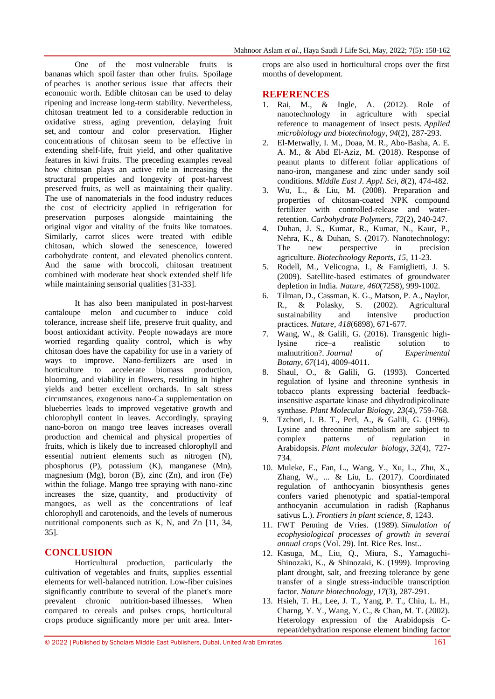One of the most vulnerable fruits is bananas which spoil faster than other fruits. Spoilage of peaches is another serious issue that affects their economic worth. Edible chitosan can be used to delay ripening and increase long-term stability. Nevertheless, chitosan treatment led to a considerable reduction in oxidative stress, aging prevention, delaying fruit set, and contour and color preservation. Higher concentrations of chitosan seem to be effective in extending shelf-life, fruit yield, and other qualitative features in kiwi fruits. The preceding examples reveal how chitosan plays an active role in increasing the structural properties and longevity of post-harvest preserved fruits, as well as maintaining their quality. The use of nanomaterials in the food industry reduces the cost of electricity applied in refrigeration for preservation purposes alongside maintaining the original vigor and vitality of the fruits like tomatoes. Similarly, carrot slices were treated with edible chitosan, which slowed the senescence, lowered carbohydrate content, and elevated phenolics content. And the same with broccoli, chitosan treatment combined with moderate heat shock extended shelf life while maintaining sensorial qualities [31-33].

It has also been manipulated in post-harvest cantaloupe melon and cucumber to induce cold tolerance, increase shelf life, preserve fruit quality, and boost antioxidant activity. People nowadays are more worried regarding quality control, which is why chitosan does have the capability for use in a variety of ways to improve. Nano-fertilizers are used in horticulture to accelerate biomass production, blooming, and viability in flowers, resulting in higher yields and better excellent orchards. In salt stress circumstances, exogenous nano-Ca supplementation on blueberries leads to improved vegetative growth and chlorophyll content in leaves. Accordingly, spraying nano-boron on mango tree leaves increases overall production and chemical and physical properties of fruits, which is likely due to increased chlorophyll and essential nutrient elements such as nitrogen (N), phosphorus (P), potassium (K), manganese (Mn), magnesium  $(Mg)$ , boron  $(B)$ , zinc  $(Zn)$ , and iron  $(Fe)$ within the foliage. Mango tree spraying with nano-zinc increases the size, quantity, and productivity of mangoes, as well as the concentrations of leaf chlorophyll and carotenoids, and the levels of numerous nutritional components such as K, N, and Zn [11, 34, 35].

# **CONCLUSION**

Horticultural production, particularly the cultivation of vegetables and fruits, supplies essential elements for well-balanced nutrition. Low-fiber cuisines significantly contribute to several of the planet's more prevalent chronic nutrition-based illnesses. When compared to cereals and pulses crops, horticultural crops produce significantly more per unit area. Intercrops are also used in horticultural crops over the first months of development.

## **REFERENCES**

- 1. Rai, M., & Ingle, A. (2012). Role of nanotechnology in agriculture with special reference to management of insect pests. *Applied microbiology and biotechnology*, *94*(2), 287-293.
- 2. El-Metwally, I. M., Doaa, M. R., Abo-Basha, A. E. A. M., & Abd El-Aziz, M. (2018). Response of peanut plants to different foliar applications of nano-iron, manganese and zinc under sandy soil conditions. *Middle East J. Appl. Sci*, *8*(2), 474-482.
- 3. Wu, L., & Liu, M. (2008). Preparation and properties of chitosan-coated NPK compound fertilizer with controlled-release and waterretention. *Carbohydrate Polymers*, *72*(2), 240-247.
- 4. Duhan, J. S., Kumar, R., Kumar, N., Kaur, P., Nehra, K., & Duhan, S. (2017). Nanotechnology:<br>The new perspective in precision The new perspective in agriculture. *Biotechnology Reports*, *15*, 11-23.
- 5. Rodell, M., Velicogna, I., & Famiglietti, J. S. (2009). Satellite-based estimates of groundwater depletion in India. *Nature*, *460*(7258), 999-1002.
- 6. Tilman, D., Cassman, K. G., Matson, P. A., Naylor, R., & Polasky, S. (2002). Agricultural sustainability and intensive production practices. *Nature*, *418*(6898), 671-677.
- 7. Wang, W., & Galili, G. (2016). Transgenic highlysine rice–a realistic solution to malnutrition?. *Journal of Experimental Botany*, *67*(14), 4009-4011.
- 8. Shaul, O., & Galili, G. (1993). Concerted regulation of lysine and threonine synthesis in tobacco plants expressing bacterial feedbackinsensitive aspartate kinase and dihydrodipicolinate synthase. *Plant Molecular Biology*, *23*(4), 759-768.
- 9. Tzchori, I. B. T., Perl, A., & Galili, G. (1996). Lysine and threonine metabolism are subject to complex patterns of regulation in Arabidopsis. *Plant molecular biology*, *32*(4), 727- 734.
- 10. Muleke, E., Fan, L., Wang, Y., Xu, L., Zhu, X., Zhang, W., ... & Liu, L. (2017). Coordinated regulation of anthocyanin biosynthesis genes confers varied phenotypic and spatial-temporal anthocyanin accumulation in radish (Raphanus sativus L.). *Frontiers in plant science*, *8*, 1243.
- 11. FWT Penning de Vries. (1989). *Simulation of ecophysiological processes of growth in several annual crops* (Vol. 29). Int. Rice Res. Inst..
- 12. Kasuga, M., Liu, Q., Miura, S., Yamaguchi-Shinozaki, K., & Shinozaki, K. (1999). Improving plant drought, salt, and freezing tolerance by gene transfer of a single stress-inducible transcription factor. *Nature biotechnology*, *17*(3), 287-291.
- 13. Hsieh, T. H., Lee, J. T., Yang, P. T., Chiu, L. H., Charng, Y. Y., Wang, Y. C., & Chan, M. T. (2002). Heterology expression of the Arabidopsis Crepeat/dehydration response element binding factor